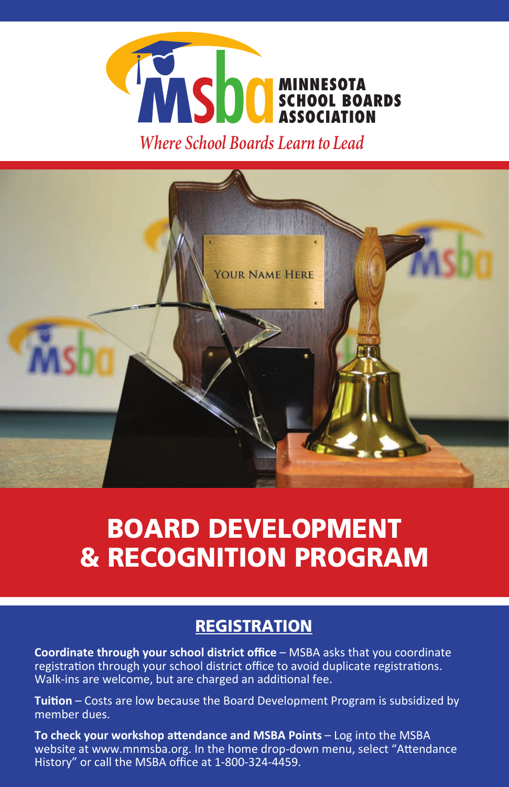

*Where School Boards Learn to Lead*



# BOARD DEVELOPMENT & RECOGNITION PROGRAM

# **REGISTRATION**

**Coordinate through your school district office** – MSBA asks that you coordinate registration through your school district office to avoid duplicate registrations. Walk-ins are welcome, but are charged an additional fee.

**Tuition** – Costs are low because the Board Development Program is subsidized by member dues.

**To check your workshop attendance and MSBA Points** – Log into the MSBA website at www.mnmsba.org. In the home drop-down menu, select "Attendance History" or call the MSBA office at 1-800-324-4459.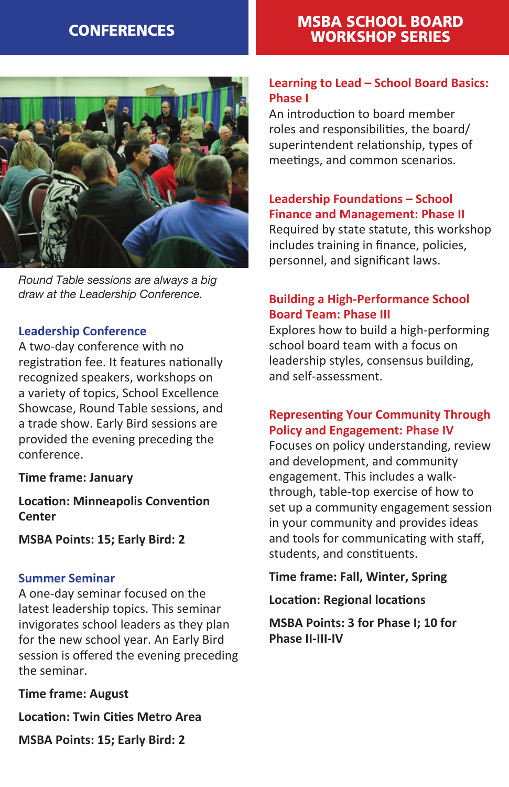# CONFERENCES MSBA SCHOOL BOARD WORKSHOP SERIES



*Round Table sessions are always a big draw at the Leadership Conference.*

# **Leadership Conference**

A two-day conference with no registration fee. It features nationally recognized speakers, workshops on a variety of topics, School Excellence Showcase, Round Table sessions, and a trade show. Early Bird sessions are provided the evening preceding the conference.

#### **Time frame: January**

**Location: Minneapolis Convention Center**

**MSBA Points: 15; Early Bird: 2**

#### **Summer Seminar**

A one-day seminar focused on the latest leadership topics. This seminar invigorates school leaders as they plan for the new school year. An Early Bird session is offered the evening preceding the seminar.

**Time frame: August**

**Location: Twin Cities Metro Area**

**MSBA Points: 15; Early Bird: 2**

# **Learning to Lead – School Board Basics: Phase I**

An introduction to board member roles and responsibilities, the board/ superintendent relationship, types of meetings, and common scenarios.

# **Leadership Foundations – School Finance and Management: Phase II**

Required by state statute, this workshop includes training in finance, policies, personnel, and significant laws.

# **Building a High-Performance School Board Team: Phase III**

Explores how to build a high-performing school board team with a focus on leadership styles, consensus building, and self-assessment.

# **Representing Your Community Through Policy and Engagement: Phase IV**

Focuses on policy understanding, review and development, and community engagement. This includes a walkthrough, table-top exercise of how to set up a community engagement session in your community and provides ideas and tools for communicating with staff, students, and constituents.

#### **Time frame: Fall, Winter, Spring**

**Location: Regional locations**

**MSBA Points: 3 for Phase I; 10 for Phase II-III-IV**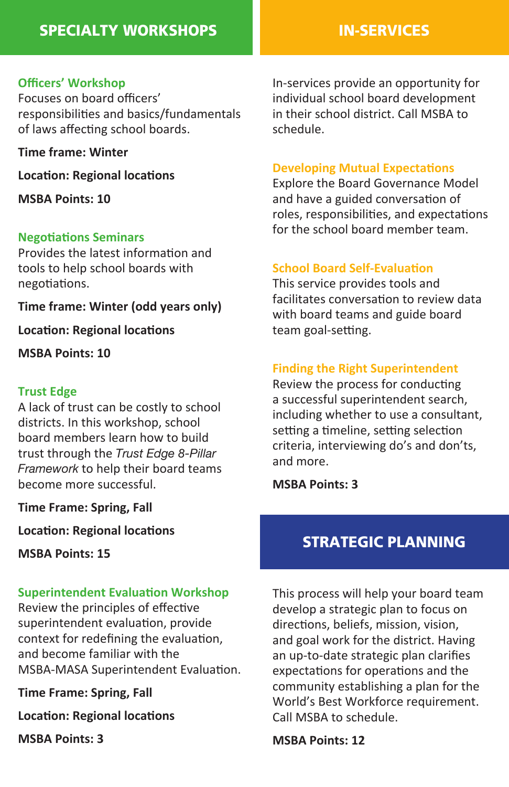# SPECIALTY WORKSHOPS **IN-SERVICES**

### **Officers' Workshop**

Focuses on board officers' responsibilities and basics/fundamentals of laws affecting school boards.

**Time frame: Winter**

**Location: Regional locations**

**MSBA Points: 10**

#### **Negotiations Seminars**

Provides the latest information and tools to help school boards with negotiations.

**Time frame: Winter (odd years only)**

**Location: Regional locations**

**MSBA Points: 10**

### **Trust Edge**

A lack of trust can be costly to school districts. In this workshop, school board members learn how to build trust through the *Trust Edge 8-Pillar Framework* to help their board teams become more successful.

**Time Frame: Spring, Fall**

**Location: Regional locations**

**MSBA Points: 15**

#### **Superintendent Evaluation Workshop**

Review the principles of effective superintendent evaluation, provide context for redefining the evaluation, and become familiar with the MSBA-MASA Superintendent Evaluation.

**Time Frame: Spring, Fall**

**Location: Regional locations**

**MSBA Points: 3**

In-services provide an opportunity for individual school board development in their school district. Call MSBA to schedule.

#### **Developing Mutual Expectations**

Explore the Board Governance Model and have a guided conversation of roles, responsibilities, and expectations for the school board member team.

#### **School Board Self-Evaluation**

This service provides tools and facilitates conversation to review data with board teams and guide board team goal-setting.

# **Finding the Right Superintendent**

Review the process for conducting a successful superintendent search, including whether to use a consultant, setting a timeline, setting selection criteria, interviewing do's and don'ts, and more.

**MSBA Points: 3**

# STRATEGIC PLANNING

This process will help your board team develop a strategic plan to focus on directions, beliefs, mission, vision, and goal work for the district. Having an up-to-date strategic plan clarifies expectations for operations and the community establishing a plan for the World's Best Workforce requirement. Call MSBA to schedule.

**MSBA Points: 12**